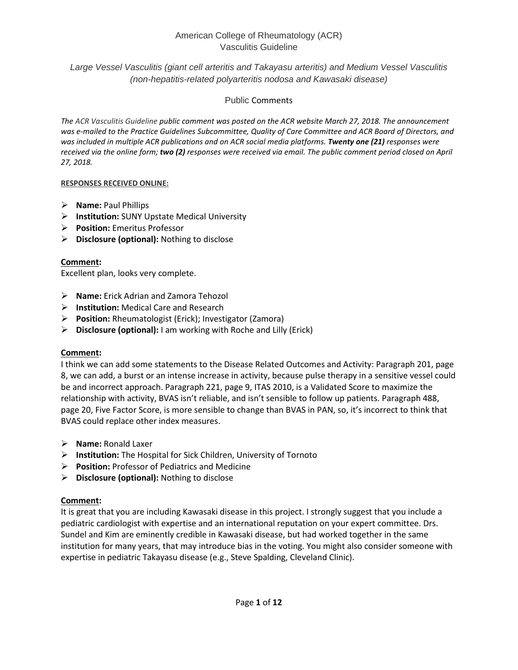*Large Vessel Vasculitis (giant cell arteritis and Takayasu arteritis) and Medium Vessel Vasculitis (non-hepatitis-related polyarteritis nodosa and Kawasaki disease)*

## Public Comments

*The ACR Vasculitis Guideline public comment was posted on the ACR website March 27, 2018. The announcement was e-mailed to the Practice Guidelines Subcommittee, Quality of Care Committee and ACR Board of Directors, and was included in multiple ACR publications and on ACR social media platforms. Twenty one (21) responses were received via the online form; two (2) responses were received via email. The public comment period closed on April 27, 2018.*

### **RESPONSES RECEIVED ONLINE:**

- **Name:** Paul Phillips
- **Institution:** SUNY Upstate Medical University
- **Position:** Emeritus Professor
- **Disclosure (optional):** Nothing to disclose

## **Comment:**

Excellent plan, looks very complete.

- **Name:** Erick Adrian and Zamora Tehozol
- **Institution:** Medical Care and Research
- **Position:** Rheumatologist (Erick); Investigator (Zamora)
- **Disclosure (optional):** I am working with Roche and Lilly (Erick)

## **Comment:**

I think we can add some statements to the Disease Related Outcomes and Activity: Paragraph 201, page 8, we can add, a burst or an intense increase in activity, because pulse therapy in a sensitive vessel could be and incorrect approach. Paragraph 221, page 9, ITAS 2010, is a Validated Score to maximize the relationship with activity, BVAS isn't reliable, and isn't sensible to follow up patients. Paragraph 488, page 20, Five Factor Score, is more sensible to change than BVAS in PAN, so, it's incorrect to think that BVAS could replace other index measures.

- **Name:** Ronald Laxer
- **Institution:** The Hospital for Sick Children, University of Tornoto
- **Position:** Professor of Pediatrics and Medicine
- **Disclosure (optional):** Nothing to disclose

## **Comment:**

It is great that you are including Kawasaki disease in this project. I strongly suggest that you include a pediatric cardiologist with expertise and an international reputation on your expert committee. Drs. Sundel and Kim are eminently credible in Kawasaki disease, but had worked together in the same institution for many years, that may introduce bias in the voting. You might also consider someone with expertise in pediatric Takayasu disease (e.g., Steve Spalding, Cleveland Clinic).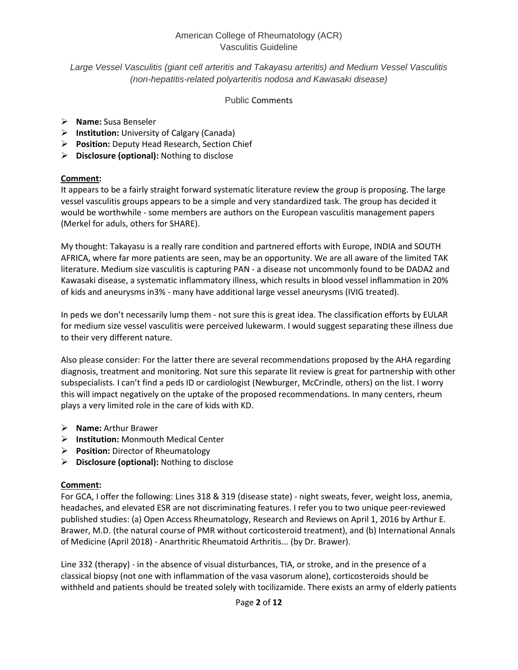## *Large Vessel Vasculitis (giant cell arteritis and Takayasu arteritis) and Medium Vessel Vasculitis (non-hepatitis-related polyarteritis nodosa and Kawasaki disease)*

### Public Comments

- **Name:** Susa Benseler
- **Institution:** University of Calgary (Canada)
- **Position:** Deputy Head Research, Section Chief
- **Disclosure (optional):** Nothing to disclose

## **Comment:**

It appears to be a fairly straight forward systematic literature review the group is proposing. The large vessel vasculitis groups appears to be a simple and very standardized task. The group has decided it would be worthwhile - some members are authors on the European vasculitis management papers (Merkel for aduls, others for SHARE).

My thought: Takayasu is a really rare condition and partnered efforts with Europe, INDIA and SOUTH AFRICA, where far more patients are seen, may be an opportunity. We are all aware of the limited TAK literature. Medium size vasculitis is capturing PAN - a disease not uncommonly found to be DADA2 and Kawasaki disease, a systematic inflammatory illness, which results in blood vessel inflammation in 20% of kids and aneurysms in3% - many have additional large vessel aneurysms (IVIG treated).

In peds we don't necessarily lump them - not sure this is great idea. The classification efforts by EULAR for medium size vessel vasculitis were perceived lukewarm. I would suggest separating these illness due to their very different nature.

Also please consider: For the latter there are several recommendations proposed by the AHA regarding diagnosis, treatment and monitoring. Not sure this separate lit review is great for partnership with other subspecialists. I can't find a peds ID or cardiologist (Newburger, McCrindle, others) on the list. I worry this will impact negatively on the uptake of the proposed recommendations. In many centers, rheum plays a very limited role in the care of kids with KD.

- **Name:** Arthur Brawer
- **Institution:** Monmouth Medical Center
- **Position:** Director of Rheumatology
- **Disclosure (optional):** Nothing to disclose

## **Comment:**

For GCA, I offer the following: Lines 318 & 319 (disease state) - night sweats, fever, weight loss, anemia, headaches, and elevated ESR are not discriminating features. I refer you to two unique peer-reviewed published studies: (a) Open Access Rheumatology, Research and Reviews on April 1, 2016 by Arthur E. Brawer, M.D. (the natural course of PMR without corticosteroid treatment), and (b) International Annals of Medicine (April 2018) - Anarthritic Rheumatoid Arthritis... (by Dr. Brawer).

Line 332 (therapy) - in the absence of visual disturbances, TIA, or stroke, and in the presence of a classical biopsy (not one with inflammation of the vasa vasorum alone), corticosteroids should be withheld and patients should be treated solely with tocilizamide. There exists an army of elderly patients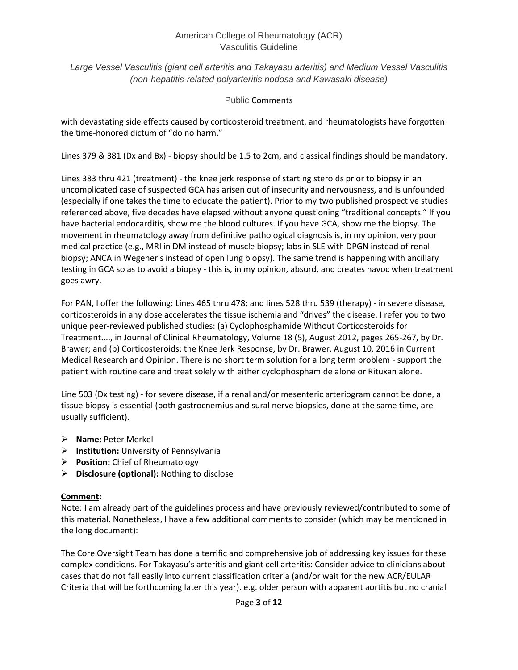*Large Vessel Vasculitis (giant cell arteritis and Takayasu arteritis) and Medium Vessel Vasculitis (non-hepatitis-related polyarteritis nodosa and Kawasaki disease)*

## Public Comments

with devastating side effects caused by corticosteroid treatment, and rheumatologists have forgotten the time-honored dictum of "do no harm."

Lines 379 & 381 (Dx and Bx) - biopsy should be 1.5 to 2cm, and classical findings should be mandatory.

Lines 383 thru 421 (treatment) - the knee jerk response of starting steroids prior to biopsy in an uncomplicated case of suspected GCA has arisen out of insecurity and nervousness, and is unfounded (especially if one takes the time to educate the patient). Prior to my two published prospective studies referenced above, five decades have elapsed without anyone questioning "traditional concepts." If you have bacterial endocarditis, show me the blood cultures. If you have GCA, show me the biopsy. The movement in rheumatology away from definitive pathological diagnosis is, in my opinion, very poor medical practice (e.g., MRI in DM instead of muscle biopsy; labs in SLE with DPGN instead of renal biopsy; ANCA in Wegener's instead of open lung biopsy). The same trend is happening with ancillary testing in GCA so as to avoid a biopsy - this is, in my opinion, absurd, and creates havoc when treatment goes awry.

For PAN, I offer the following: Lines 465 thru 478; and lines 528 thru 539 (therapy) - in severe disease, corticosteroids in any dose accelerates the tissue ischemia and "drives" the disease. I refer you to two unique peer-reviewed published studies: (a) Cyclophosphamide Without Corticosteroids for Treatment...., in Journal of Clinical Rheumatology, Volume 18 (5), August 2012, pages 265-267, by Dr. Brawer; and (b) Corticosteroids: the Knee Jerk Response, by Dr. Brawer, August 10, 2016 in Current Medical Research and Opinion. There is no short term solution for a long term problem - support the patient with routine care and treat solely with either cyclophosphamide alone or Rituxan alone.

Line 503 (Dx testing) - for severe disease, if a renal and/or mesenteric arteriogram cannot be done, a tissue biopsy is essential (both gastrocnemius and sural nerve biopsies, done at the same time, are usually sufficient).

- **Name:** Peter Merkel
- **Institution:** University of Pennsylvania
- **Position:** Chief of Rheumatology
- **Disclosure (optional):** Nothing to disclose

## **Comment:**

Note: I am already part of the guidelines process and have previously reviewed/contributed to some of this material. Nonetheless, I have a few additional comments to consider (which may be mentioned in the long document):

The Core Oversight Team has done a terrific and comprehensive job of addressing key issues for these complex conditions. For Takayasu's arteritis and giant cell arteritis: Consider advice to clinicians about cases that do not fall easily into current classification criteria (and/or wait for the new ACR/EULAR Criteria that will be forthcoming later this year). e.g. older person with apparent aortitis but no cranial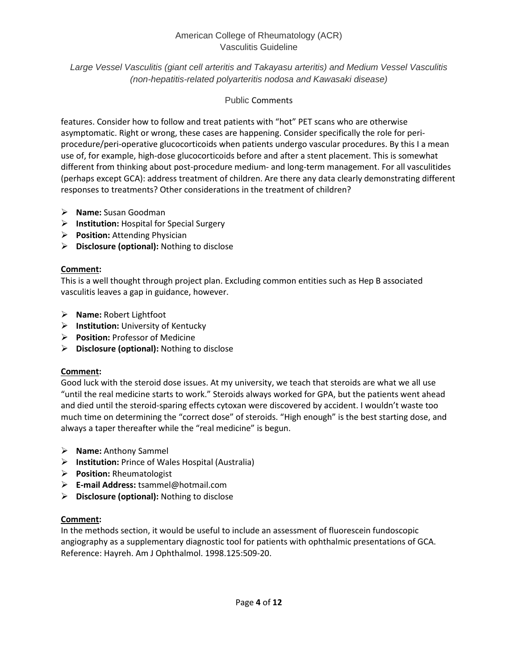*Large Vessel Vasculitis (giant cell arteritis and Takayasu arteritis) and Medium Vessel Vasculitis (non-hepatitis-related polyarteritis nodosa and Kawasaki disease)*

## Public Comments

features. Consider how to follow and treat patients with "hot" PET scans who are otherwise asymptomatic. Right or wrong, these cases are happening. Consider specifically the role for periprocedure/peri-operative glucocorticoids when patients undergo vascular procedures. By this I a mean use of, for example, high-dose glucocorticoids before and after a stent placement. This is somewhat different from thinking about post-procedure medium- and long-term management. For all vasculitides (perhaps except GCA): address treatment of children. Are there any data clearly demonstrating different responses to treatments? Other considerations in the treatment of children?

- **Name:** Susan Goodman
- **Institution:** Hospital for Special Surgery
- **Position:** Attending Physician
- **Disclosure (optional):** Nothing to disclose

## **Comment:**

This is a well thought through project plan. Excluding common entities such as Hep B associated vasculitis leaves a gap in guidance, however.

- **Name:** Robert Lightfoot
- **Institution:** University of Kentucky
- **Position:** Professor of Medicine
- **Disclosure (optional):** Nothing to disclose

## **Comment:**

Good luck with the steroid dose issues. At my university, we teach that steroids are what we all use "until the real medicine starts to work." Steroids always worked for GPA, but the patients went ahead and died until the steroid-sparing effects cytoxan were discovered by accident. I wouldn't waste too much time on determining the "correct dose" of steroids. "High enough" is the best starting dose, and always a taper thereafter while the "real medicine" is begun.

- **Name:** Anthony Sammel
- **Institution:** Prince of Wales Hospital (Australia)
- **Position:** Rheumatologist
- **E-mail Address:** tsammel@hotmail.com
- **Disclosure (optional):** Nothing to disclose

## **Comment:**

In the methods section, it would be useful to include an assessment of fluorescein fundoscopic angiography as a supplementary diagnostic tool for patients with ophthalmic presentations of GCA. Reference: Hayreh. Am J Ophthalmol. 1998.125:509-20.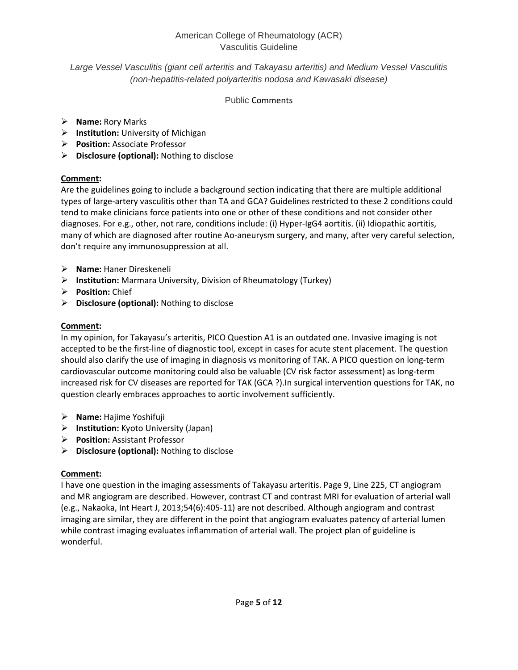## *Large Vessel Vasculitis (giant cell arteritis and Takayasu arteritis) and Medium Vessel Vasculitis (non-hepatitis-related polyarteritis nodosa and Kawasaki disease)*

## Public Comments

- **Name:** Rory Marks
- **Institution:** University of Michigan
- **Position:** Associate Professor
- **Disclosure (optional):** Nothing to disclose

# **Comment:**

Are the guidelines going to include a background section indicating that there are multiple additional types of large-artery vasculitis other than TA and GCA? Guidelines restricted to these 2 conditions could tend to make clinicians force patients into one or other of these conditions and not consider other diagnoses. For e.g., other, not rare, conditions include: (i) Hyper-IgG4 aortitis. (ii) Idiopathic aortitis, many of which are diagnosed after routine Ao-aneurysm surgery, and many, after very careful selection, don't require any immunosuppression at all.

- **Name:** Haner Direskeneli
- **Institution:** Marmara University, Division of Rheumatology (Turkey)
- **Position:** Chief
- **Disclosure (optional):** Nothing to disclose

# **Comment:**

In my opinion, for Takayasu's arteritis, PICO Question A1 is an outdated one. Invasive imaging is not accepted to be the first-line of diagnostic tool, except in cases for acute stent placement. The question should also clarify the use of imaging in diagnosis vs monitoring of TAK. A PICO question on long-term cardiovascular outcome monitoring could also be valuable (CV risk factor assessment) as long-term increased risk for CV diseases are reported for TAK (GCA ?).In surgical intervention questions for TAK, no question clearly embraces approaches to aortic involvement sufficiently.

- **Name:** Hajime Yoshifuji
- **Institution:** Kyoto University (Japan)
- **Position:** Assistant Professor
- **Disclosure (optional):** Nothing to disclose

# **Comment:**

I have one question in the imaging assessments of Takayasu arteritis. Page 9, Line 225, CT angiogram and MR angiogram are described. However, contrast CT and contrast MRI for evaluation of arterial wall (e.g., Nakaoka, Int Heart J, 2013;54(6):405-11) are not described. Although angiogram and contrast imaging are similar, they are different in the point that angiogram evaluates patency of arterial lumen while contrast imaging evaluates inflammation of arterial wall. The project plan of guideline is wonderful.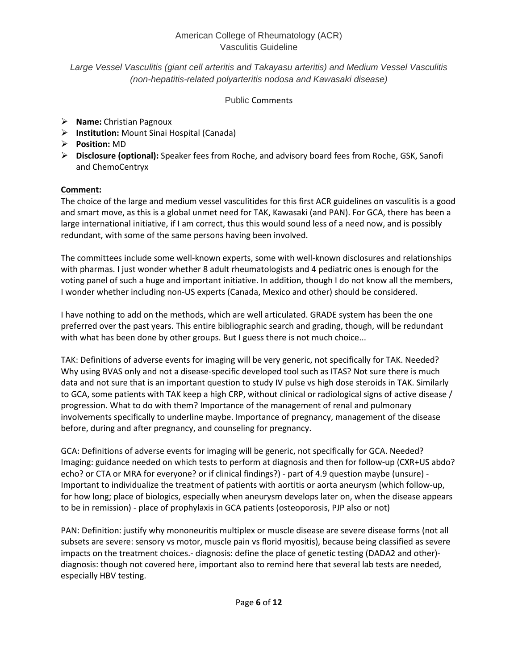## *Large Vessel Vasculitis (giant cell arteritis and Takayasu arteritis) and Medium Vessel Vasculitis (non-hepatitis-related polyarteritis nodosa and Kawasaki disease)*

## Public Comments

- **Name:** Christian Pagnoux
- **Institution:** Mount Sinai Hospital (Canada)
- **Position:** MD
- **Disclosure (optional):** Speaker fees from Roche, and advisory board fees from Roche, GSK, Sanofi and ChemoCentryx

# **Comment:**

The choice of the large and medium vessel vasculitides for this first ACR guidelines on vasculitis is a good and smart move, as this is a global unmet need for TAK, Kawasaki (and PAN). For GCA, there has been a large international initiative, if I am correct, thus this would sound less of a need now, and is possibly redundant, with some of the same persons having been involved.

The committees include some well-known experts, some with well-known disclosures and relationships with pharmas. I just wonder whether 8 adult rheumatologists and 4 pediatric ones is enough for the voting panel of such a huge and important initiative. In addition, though I do not know all the members, I wonder whether including non-US experts (Canada, Mexico and other) should be considered.

I have nothing to add on the methods, which are well articulated. GRADE system has been the one preferred over the past years. This entire bibliographic search and grading, though, will be redundant with what has been done by other groups. But I guess there is not much choice...

TAK: Definitions of adverse events for imaging will be very generic, not specifically for TAK. Needed? Why using BVAS only and not a disease-specific developed tool such as ITAS? Not sure there is much data and not sure that is an important question to study IV pulse vs high dose steroids in TAK. Similarly to GCA, some patients with TAK keep a high CRP, without clinical or radiological signs of active disease / progression. What to do with them? Importance of the management of renal and pulmonary involvements specifically to underline maybe. Importance of pregnancy, management of the disease before, during and after pregnancy, and counseling for pregnancy.

GCA: Definitions of adverse events for imaging will be generic, not specifically for GCA. Needed? Imaging: guidance needed on which tests to perform at diagnosis and then for follow-up (CXR+US abdo? echo? or CTA or MRA for everyone? or if clinical findings?) - part of 4.9 question maybe (unsure) - Important to individualize the treatment of patients with aortitis or aorta aneurysm (which follow-up, for how long; place of biologics, especially when aneurysm develops later on, when the disease appears to be in remission) - place of prophylaxis in GCA patients (osteoporosis, PJP also or not)

PAN: Definition: justify why mononeuritis multiplex or muscle disease are severe disease forms (not all subsets are severe: sensory vs motor, muscle pain vs florid myositis), because being classified as severe impacts on the treatment choices.- diagnosis: define the place of genetic testing (DADA2 and other) diagnosis: though not covered here, important also to remind here that several lab tests are needed, especially HBV testing.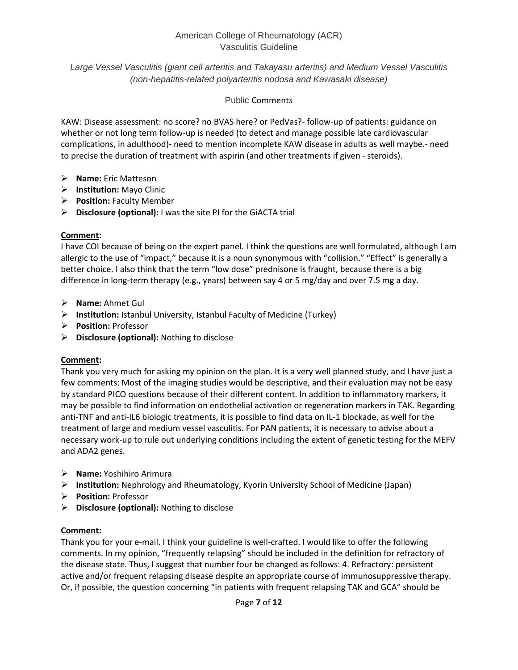*Large Vessel Vasculitis (giant cell arteritis and Takayasu arteritis) and Medium Vessel Vasculitis (non-hepatitis-related polyarteritis nodosa and Kawasaki disease)*

## Public Comments

KAW: Disease assessment: no score? no BVAS here? or PedVas?- follow-up of patients: guidance on whether or not long term follow-up is needed (to detect and manage possible late cardiovascular complications, in adulthood)- need to mention incomplete KAW disease in adults as well maybe.- need to precise the duration of treatment with aspirin (and other treatments if given - steroids).

- **Name:** Eric Matteson
- **Institution:** Mayo Clinic
- **Position:** Faculty Member
- **Disclosure (optional):** I was the site PI for the GiACTA trial

### **Comment:**

I have COI because of being on the expert panel. I think the questions are well formulated, although I am allergic to the use of "impact," because it is a noun synonymous with "collision." "Effect" is generally a better choice. I also think that the term "low dose" prednisone is fraught, because there is a big difference in long-term therapy (e.g., years) between say 4 or 5 mg/day and over 7.5 mg a day.

- **Name:** Ahmet Gul
- **Institution:** Istanbul University, Istanbul Faculty of Medicine (Turkey)
- **Position:** Professor
- **Disclosure (optional):** Nothing to disclose

## **Comment:**

Thank you very much for asking my opinion on the plan. It is a very well planned study, and I have just a few comments: Most of the imaging studies would be descriptive, and their evaluation may not be easy by standard PICO questions because of their different content. In addition to inflammatory markers, it may be possible to find information on endothelial activation or regeneration markers in TAK. Regarding anti-TNF and anti-IL6 biologic treatments, it is possible to find data on IL-1 blockade, as well for the treatment of large and medium vessel vasculitis. For PAN patients, it is necessary to advise about a necessary work-up to rule out underlying conditions including the extent of genetic testing for the MEFV and ADA2 genes.

- **Name:** Yoshihiro Arimura
- **Institution:** Nephrology and Rheumatology, Kyorin University School of Medicine (Japan)
- **Position:** Professor
- **Disclosure (optional):** Nothing to disclose

## **Comment:**

Thank you for your e-mail. I think your guideline is well-crafted. I would like to offer the following comments. In my opinion, "frequently relapsing" should be included in the definition for refractory of the disease state. Thus, I suggest that number four be changed as follows: 4. Refractory: persistent active and/or frequent relapsing disease despite an appropriate course of immunosuppressive therapy. Or, if possible, the question concerning "in patients with frequent relapsing TAK and GCA" should be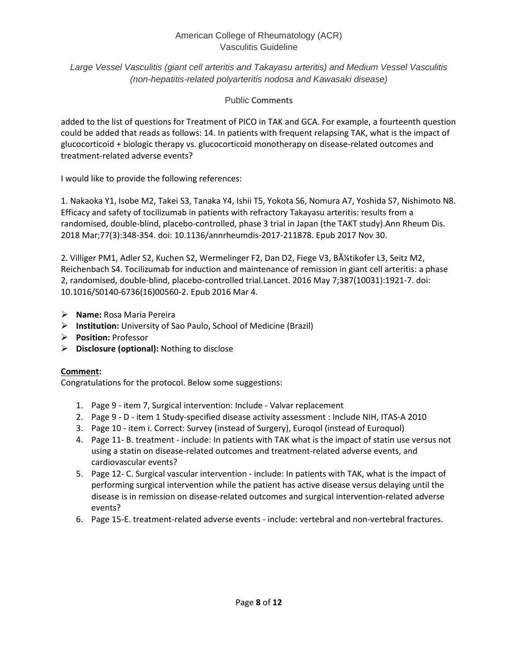*Large Vessel Vasculitis (giant cell arteritis and Takayasu arteritis) and Medium Vessel Vasculitis (non-hepatitis-related polyarteritis nodosa and Kawasaki disease)*

## Public Comments

added to the list of questions for Treatment of PICO in TAK and GCA. For example, a fourteenth question could be added that reads as follows: 14. In patients with frequent relapsing TAK, what is the impact of glucocorticoid + biologic therapy vs. glucocorticoid monotherapy on disease-related outcomes and treatment-related adverse events?

I would like to provide the following references:

1. Nakaoka Y1, Isobe M2, Takei S3, Tanaka Y4, Ishii T5, Yokota S6, Nomura A7, Yoshida S7, Nishimoto N8. Efficacy and safety of tocilizumab in patients with refractory Takayasu arteritis: results from a randomised, double-blind, placebo-controlled, phase 3 trial in Japan (the TAKT study).Ann Rheum Dis. 2018 Mar;77(3):348-354. doi: 10.1136/annrheumdis-2017-211878. Epub 2017 Nov 30.

2. Villiger PM1, Adler S2, Kuchen S2, Wermelinger F2, Dan D2, Fiege V3, Bütikofer L3, Seitz M2, Reichenbach S4. Tocilizumab for induction and maintenance of remission in giant cell arteritis: a phase 2, randomised, double-blind, placebo-controlled trial.Lancet. 2016 May 7;387(10031):1921-7. doi: 10.1016/S0140-6736(16)00560-2. Epub 2016 Mar 4.

- **Name:** Rosa Maria Pereira
- **Institution:** University of Sao Paulo, School of Medicine (Brazil)
- **Position:** Professor
- **Disclosure (optional):** Nothing to disclose

## **Comment:**

Congratulations for the protocol. Below some suggestions:

- 1. Page 9 item 7, Surgical intervention: Include Valvar replacement
- 2. Page 9 D item 1 Study-specified disease activity assessment : Include NIH, ITAS-A 2010
- 3. Page 10 item i. Correct: Survey (instead of Surgery), Euroqol (instead of Euroquol)
- 4. Page 11- B. treatment include: In patients with TAK what is the impact of statin use versus not using a statin on disease-related outcomes and treatment-related adverse events, and cardiovascular events?
- 5. Page 12- C. Surgical vascular intervention include: In patients with TAK, what is the impact of performing surgical intervention while the patient has active disease versus delaying until the disease is in remission on disease-related outcomes and surgical intervention-related adverse events?
- 6. Page 15-E. treatment-related adverse events include: vertebral and non-vertebral fractures.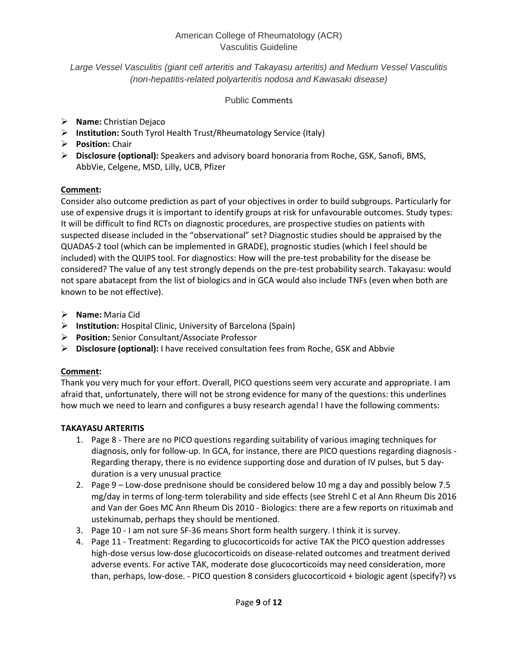## *Large Vessel Vasculitis (giant cell arteritis and Takayasu arteritis) and Medium Vessel Vasculitis (non-hepatitis-related polyarteritis nodosa and Kawasaki disease)*

## Public Comments

- **Name:** Christian Dejaco
- **Institution:** South Tyrol Health Trust/Rheumatology Service (Italy)
- **Position:** Chair
- **Disclosure (optional):** Speakers and advisory board honoraria from Roche, GSK, Sanofi, BMS, AbbVie, Celgene, MSD, Lilly, UCB, Pfizer

# **Comment:**

Consider also outcome prediction as part of your objectives in order to build subgroups. Particularly for use of expensive drugs it is important to identify groups at risk for unfavourable outcomes. Study types: It will be difficult to find RCTs on diagnostic procedures, are prospective studies on patients with suspected disease included in the "observational" set? Diagnostic studies should be appraised by the QUADAS-2 tool (which can be implemented in GRADE), prognostic studies (which I feel should be included) with the QUIPS tool. For diagnostics: How will the pre-test probability for the disease be considered? The value of any test strongly depends on the pre-test probability search. Takayasu: would not spare abatacept from the list of biologics and in GCA would also include TNFs (even when both are known to be not effective).

- **Name:** Maria Cid
- **Institution:** Hospital Clinic, University of Barcelona (Spain)
- **Position:** Senior Consultant/Associate Professor
- **Disclosure (optional):** I have received consultation fees from Roche, GSK and Abbvie

# **Comment:**

Thank you very much for your effort. Overall, PICO questions seem very accurate and appropriate. I am afraid that, unfortunately, there will not be strong evidence for many of the questions: this underlines how much we need to learn and configures a busy research agenda! I have the following comments:

# **TAKAYASU ARTERITIS**

- 1. Page 8 There are no PICO questions regarding suitability of various imaging techniques for diagnosis, only for follow-up. In GCA, for instance, there are PICO questions regarding diagnosis - Regarding therapy, there is no evidence supporting dose and duration of IV pulses, but 5 dayduration is a very unusual practice
- 2. Page 9 Low-dose prednisone should be considered below 10 mg a day and possibly below 7.5 mg/day in terms of long-term tolerability and side effects (see Strehl C et al Ann Rheum Dis 2016 and Van der Goes MC Ann Rheum Dis 2010 - Biologics: there are a few reports on rituximab and ustekinumab, perhaps they should be mentioned.
- 3. Page 10 I am not sure SF-36 means Short form health surgery. I think it is survey.
- 4. Page 11 Treatment: Regarding to glucocorticoids for active TAK the PICO question addresses high-dose versus low-dose glucocorticoids on disease-related outcomes and treatment derived adverse events. For active TAK, moderate dose glucocorticoids may need consideration, more than, perhaps, low-dose. - PICO question 8 considers glucocorticoid + biologic agent (specify?) vs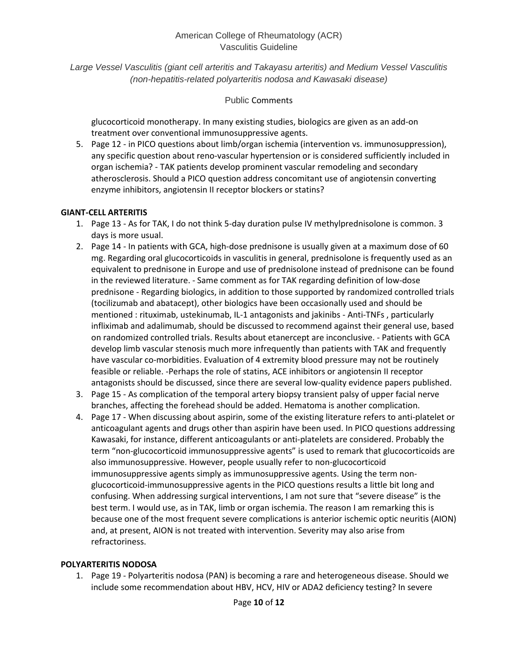*Large Vessel Vasculitis (giant cell arteritis and Takayasu arteritis) and Medium Vessel Vasculitis (non-hepatitis-related polyarteritis nodosa and Kawasaki disease)*

#### Public Comments

glucocorticoid monotherapy. In many existing studies, biologics are given as an add-on treatment over conventional immunosuppressive agents.

5. Page 12 - in PICO questions about limb/organ ischemia (intervention vs. immunosuppression), any specific question about reno-vascular hypertension or is considered sufficiently included in organ ischemia? - TAK patients develop prominent vascular remodeling and secondary atherosclerosis. Should a PICO question address concomitant use of angiotensin converting enzyme inhibitors, angiotensin II receptor blockers or statins?

### **GIANT-CELL ARTERITIS**

- 1. Page 13 As for TAK, I do not think 5-day duration pulse IV methylprednisolone is common. 3 days is more usual.
- 2. Page 14 In patients with GCA, high-dose prednisone is usually given at a maximum dose of 60 mg. Regarding oral glucocorticoids in vasculitis in general, prednisolone is frequently used as an equivalent to prednisone in Europe and use of prednisolone instead of prednisone can be found in the reviewed literature. - Same comment as for TAK regarding definition of low-dose prednisone - Regarding biologics, in addition to those supported by randomized controlled trials (tocilizumab and abatacept), other biologics have been occasionally used and should be mentioned : rituximab, ustekinumab, IL-1 antagonists and jakinibs - Anti-TNFs , particularly infliximab and adalimumab, should be discussed to recommend against their general use, based on randomized controlled trials. Results about etanercept are inconclusive. - Patients with GCA develop limb vascular stenosis much more infrequently than patients with TAK and frequently have vascular co-morbidities. Evaluation of 4 extremity blood pressure may not be routinely feasible or reliable. -Perhaps the role of statins, ACE inhibitors or angiotensin II receptor antagonists should be discussed, since there are several low-quality evidence papers published.
- 3. Page 15 As complication of the temporal artery biopsy transient palsy of upper facial nerve branches, affecting the forehead should be added. Hematoma is another complication.
- 4. Page 17 When discussing about aspirin, some of the existing literature refers to anti-platelet or anticoagulant agents and drugs other than aspirin have been used. In PICO questions addressing Kawasaki, for instance, different anticoagulants or anti-platelets are considered. Probably the term "non-glucocorticoid immunosuppressive agents" is used to remark that glucocorticoids are also immunosuppressive. However, people usually refer to non-glucocorticoid immunosuppressive agents simply as immunosuppressive agents. Using the term nonglucocorticoid-immunosuppressive agents in the PICO questions results a little bit long and confusing. When addressing surgical interventions, I am not sure that "severe disease" is the best term. I would use, as in TAK, limb or organ ischemia. The reason I am remarking this is because one of the most frequent severe complications is anterior ischemic optic neuritis (AION) and, at present, AION is not treated with intervention. Severity may also arise from refractoriness.

#### **POLYARTERITIS NODOSA**

1. Page 19 - Polyarteritis nodosa (PAN) is becoming a rare and heterogeneous disease. Should we include some recommendation about HBV, HCV, HIV or ADA2 deficiency testing? In severe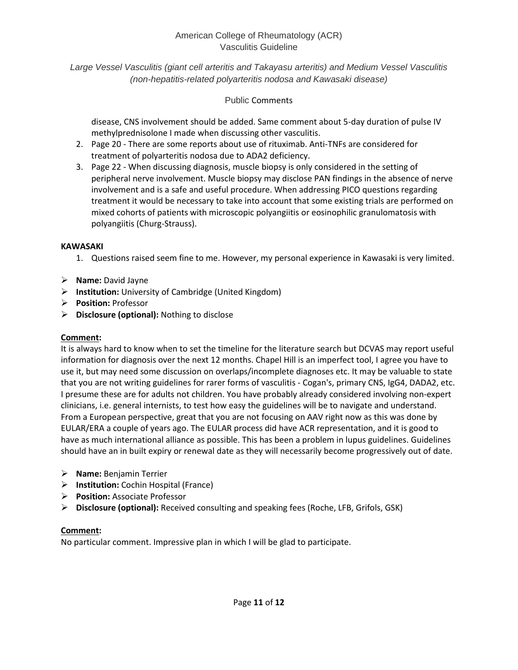*Large Vessel Vasculitis (giant cell arteritis and Takayasu arteritis) and Medium Vessel Vasculitis (non-hepatitis-related polyarteritis nodosa and Kawasaki disease)*

## Public Comments

disease, CNS involvement should be added. Same comment about 5-day duration of pulse IV methylprednisolone I made when discussing other vasculitis.

- 2. Page 20 There are some reports about use of rituximab. Anti-TNFs are considered for treatment of polyarteritis nodosa due to ADA2 deficiency.
- 3. Page 22 When discussing diagnosis, muscle biopsy is only considered in the setting of peripheral nerve involvement. Muscle biopsy may disclose PAN findings in the absence of nerve involvement and is a safe and useful procedure. When addressing PICO questions regarding treatment it would be necessary to take into account that some existing trials are performed on mixed cohorts of patients with microscopic polyangiitis or eosinophilic granulomatosis with polyangiitis (Churg-Strauss).

## **KAWASAKI**

- 1. Questions raised seem fine to me. However, my personal experience in Kawasaki is very limited.
- **Name:** David Jayne
- **Institution:** University of Cambridge (United Kingdom)
- **Position:** Professor
- **Disclosure (optional):** Nothing to disclose

## **Comment:**

It is always hard to know when to set the timeline for the literature search but DCVAS may report useful information for diagnosis over the next 12 months. Chapel Hill is an imperfect tool, I agree you have to use it, but may need some discussion on overlaps/incomplete diagnoses etc. It may be valuable to state that you are not writing guidelines for rarer forms of vasculitis - Cogan's, primary CNS, IgG4, DADA2, etc. I presume these are for adults not children. You have probably already considered involving non-expert clinicians, i.e. general internists, to test how easy the guidelines will be to navigate and understand. From a European perspective, great that you are not focusing on AAV right now as this was done by EULAR/ERA a couple of years ago. The EULAR process did have ACR representation, and it is good to have as much international alliance as possible. This has been a problem in lupus guidelines. Guidelines should have an in built expiry or renewal date as they will necessarily become progressively out of date.

- **Name:** Benjamin Terrier
- **Institution:** Cochin Hospital (France)
- **Position:** Associate Professor
- **Disclosure (optional):** Received consulting and speaking fees (Roche, LFB, Grifols, GSK)

## **Comment:**

No particular comment. Impressive plan in which I will be glad to participate.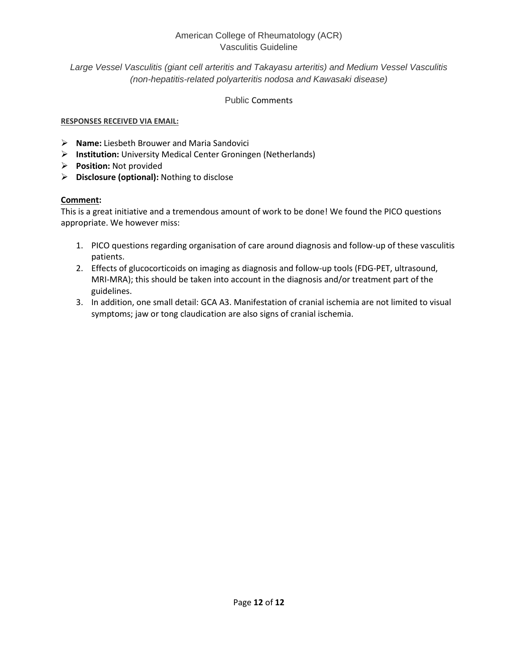*Large Vessel Vasculitis (giant cell arteritis and Takayasu arteritis) and Medium Vessel Vasculitis (non-hepatitis-related polyarteritis nodosa and Kawasaki disease)*

Public Comments

## **RESPONSES RECEIVED VIA EMAIL:**

- **Name:** Liesbeth Brouwer and Maria Sandovici
- **Institution:** University Medical Center Groningen (Netherlands)
- **Position:** Not provided
- **Disclosure (optional):** Nothing to disclose

## **Comment:**

This is a great initiative and a tremendous amount of work to be done! We found the PICO questions appropriate. We however miss:

- 1. PICO questions regarding organisation of care around diagnosis and follow-up of these vasculitis patients.
- 2. Effects of glucocorticoids on imaging as diagnosis and follow-up tools (FDG-PET, ultrasound, MRI-MRA); this should be taken into account in the diagnosis and/or treatment part of the guidelines.
- 3. In addition, one small detail: GCA A3. Manifestation of cranial ischemia are not limited to visual symptoms; jaw or tong claudication are also signs of cranial ischemia.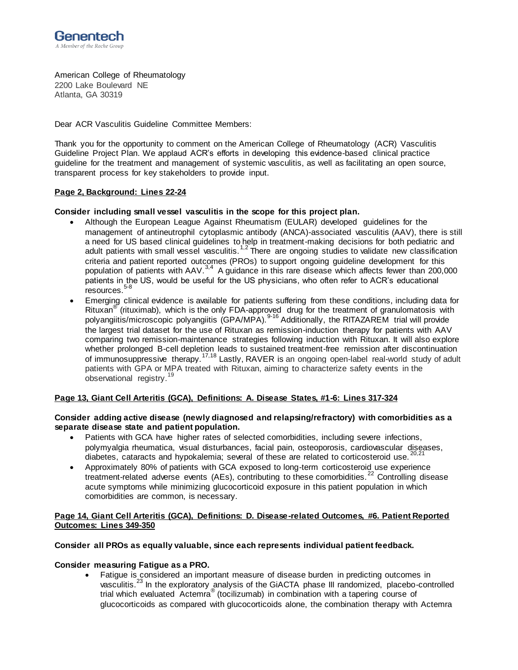

American College of Rheumatology 2200 Lake Boulevard NE Atlanta, GA 30319

Dear ACR Vasculitis Guideline Committee Members:

Thank you for the opportunity to comment on the American College of Rheumatology (ACR) Vasculitis Guideline Project Plan. We applaud ACR's efforts in developing this evidence-based clinical practice guideline for the treatment and management of systemic vasculitis, as well as facilitating an open source, transparent process for key stakeholders to provide input.

#### **Page 2, Background: Lines 22-24**

#### **Consider including small vessel vasculitis in the scope for this project plan.**

- Although the European League Against Rheumatism (EULAR) developed guidelines for the management of antineutrophil cytoplasmic antibody (ANCA)-associated vasculitis (AAV), there is still a need for US based clinical guidelines to help in treatment-making decisions for both pediatric and adult patients with small vessel vasculitis.1,2 There are ongoing studies to validate new classification criteria and patient reported outcomes (PROs) to support ongoing guideline development for this population of patients with AAV.<sup>3,4</sup> A guidance in this rare disease which affects fewer than 200,000 patients in the US, would be useful for the US physicians, who often refer to ACR's educational .<br>resources.<sup>5-8</sup>
- Emerging clinical evidence is available for patients suffering from these conditions, including data for Rituxan<sup>®</sup> (rituximab), which is the only FDA-approved drug for the treatment of granulomatosis with polyangiitis/microscopic polyangiitis (GPA/MPA).<sup>9-16</sup> Additionally, the RITAZAREM trial will provide the largest trial dataset for the use of Rituxan as remission-induction therapy for patients with AAV comparing two remission-maintenance strategies following induction with Rituxan. It will also explore whether prolonged B-cell depletion leads to sustained treatment-free remission after discontinuation of immunosuppressive therapy.<sup>17,18</sup> Lastly, RAVER is an ongoing open-label real-world study of adult patients with GPA or MPA treated with Rituxan, aiming to characterize safety events in the observational registry.<sup>19</sup>

#### **Page 13, Giant Cell Arteritis (GCA), Definitions: A. Disease States, #1-6: Lines 317-324**

#### **Consider adding active disease (newly diagnosed and relapsing/refractory) with comorbidities as a separate disease state and patient population.**

- Patients with GCA have higher rates of selected comorbidities, including severe infections, polymyalgia rheumatica, visual disturbances, facial pain, osteoporosis, cardiovascular diseases, diabetes, cataracts and hypokalemia; several of these are related to corticosteroid use.  $^{20,21}$
- Approximately 80% of patients with GCA exposed to long-term corticosteroid use experience treatment-related adverse events (AEs), contributing to these comorbidities.<sup>22</sup> Controlling disease acute symptoms while minimizing glucocorticoid exposure in this patient population in which comorbidities are common, is necessary.

#### **Page 14, Giant Cell Arteritis (GCA), Definitions: D. Disease-related Outcomes, #6. Patient Reported Outcomes: Lines 349-350**

#### **Consider all PROs as equally valuable, since each represents individual patient feedback.**

#### **Consider measuring Fatigue as a PRO.**

 Fatigue is considered an important measure of disease burden in predicting outcomes in vasculitis.<sup>23</sup> In the exploratory analysis of the GiACTA phase III randomized, placebo-controlled trial which evaluated Actemra® (tocilizumab) in combination with a tapering course of glucocorticoids as compared with glucocorticoids alone, the combination therapy with Actemra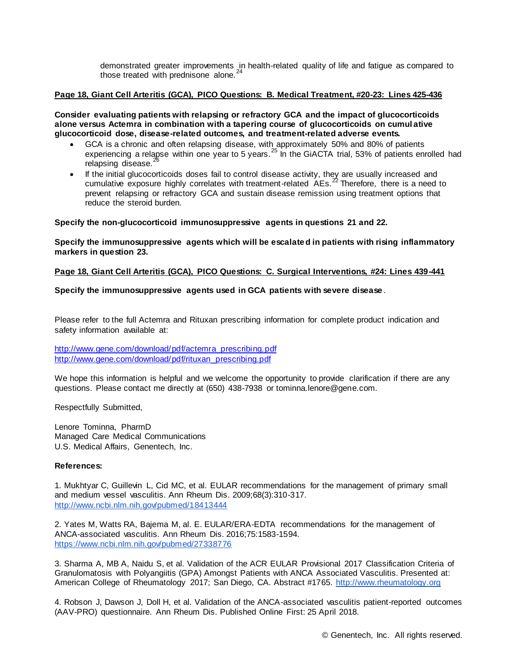demonstrated greater improvements in health-related quality of life and fatigue as compared to those treated with prednisone alone.<sup>24</sup>

#### **Page 18, Giant Cell Arteritis (GCA), PICO Questions: B. Medical Treatment, #20-23: Lines 425-436**

**Consider evaluating patients with relapsing or refractory GCA and the impact of glucocorticoids alone versus Actemra in combination with a tapering course of glucocorticoids on cumul ative glucocorticoid dose, disease-related outcomes, and treatment-related adverse events.**

- GCA is a chronic and often relapsing disease, with approximately 50% and 80% of patients experiencing a relapse within one year to 5 years.<sup>25</sup> In the GIACTA trial, 53% of patients enrolled had relapsing disease.<sup>2</sup>
- If the initial glucocorticoids doses fail to control disease activity, they are usually increased and cumulative exposure highly correlates with treatment-related  $\overrightarrow{AB}$  Therefore, there is a need to prevent relapsing or refractory GCA and sustain disease remission using treatment options that reduce the steroid burden.

#### **Specify the non-glucocorticoid immunosuppressive agents in questions 21 and 22.**

**Specify the immunosuppressive agents which will be escalated in patients with rising inflammatory markers in question 23.**

#### **Page 18, Giant Cell Arteritis (GCA), PICO Questions: C. Surgical Interventions, #24: Lines 439-441**

#### **Specify the immunosuppressive agents used in GCA patients with severe disease** .

Please refer to the full Actemra and Rituxan prescribing information for complete product indication and safety information available at:

[http://www.gene.com/download/pdf/actemra\\_prescribing.pdf](http://www.gene.com/download/pdf/actemra_prescribing.pdf) [http://www.gene.com/download/pdf/rituxan\\_prescribing.pdf](http://www.gene.com/download/pdf/rituxan_prescribing.pdf)

We hope this information is helpful and we welcome the opportunity to provide clarification if there are any questions. Please contact me directly at (650) 438-7938 or tominna.lenore@gene.com.

Respectfully Submitted,

Lenore Tominna, PharmD Managed Care Medical Communications U.S. Medical Affairs, Genentech, Inc.

#### **References:**

1. Mukhtyar C, Guillevin L, Cid MC, et al. EULAR recommendations [for the management of primary small](http://www.ncbi.nlm.nih.gov/pubmed/18413444)  and medium vessel vasculitis. Ann Rheum Dis. 2009;68(3):310-317. <http://www.ncbi.nlm.nih.gov/pubmed/18413444>

2. Yates M, Watts RA, Bajema M, al. E. EULAR/ERA-EDTA recommendations for the management of ANCA-associated vasculitis. Ann Rheum Dis. 2016;75:1583-1594. <https://www.ncbi.nlm.nih.gov/pubmed/27338776>

3. Sharma A, MB A, Naidu S, et al. Validation of the ACR EULAR Provisional 2017 Classification Criteria of Granulomatosis with Polyangiitis (GPA) Amongst Patients with ANCA Associated Vasculitis. Presented at: American College of Rheumatology 2017; San Diego, CA. Abstract #1765. [http://www.rheumatology.org](http://www.rheumatology.org/)

4. Robson J, Dawson J, Doll H, et al. Validation of the ANCA-associated vasculitis patient-reported outcomes (AAV-PRO) questionnaire. Ann Rheum Dis. Published Online First: 25 April 2018.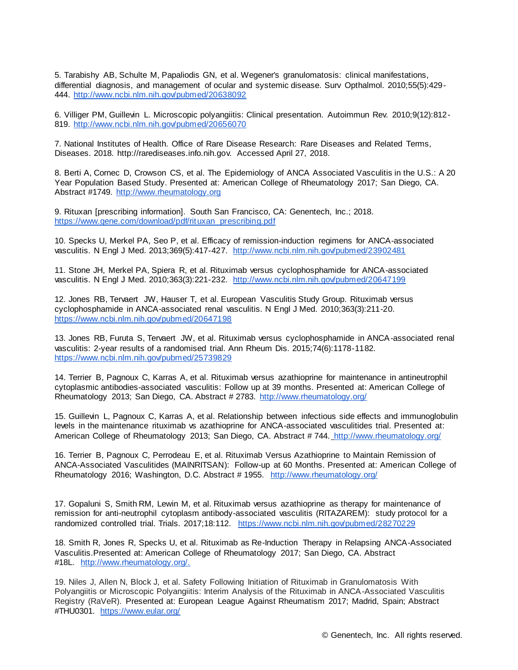5. Tarabishy AB, Schulte M, Papaliodis GN, et al. Wegener's granulomatosis: clinical manifestations, differential diagnosis, and management of ocular and systemic disease. Surv Opthalmol. 2010;55(5):429- 444. <http://www.ncbi.nlm.nih.gov/pubmed/20638092>

6. Villiger PM, Guillevin L. Microscopic polyangiitis: Clinical presentation. Autoimmun Rev. 2010;9(12):812- 819. <http://www.ncbi.nlm.nih.gov/pubmed/20656070>

7. National Institutes of Health. Office of Rare Disease Research: Rare Diseases and Related Terms, Diseases. 2018. http://rarediseases.info.nih.gov. Accessed April 27, 2018.

8. Berti A, Cornec D, Crowson CS, et al. The Epidemiology of ANCA Associated Vasculitis in the U.S.: A 20 Year Population Based Study. Presented at: American College of Rheumatology 2017; San Diego, CA. Abstract #1749. [http://www.rheumatology.org](http://www.rheumatology.org/)

9. Rituxan [prescribing information]. South San Francisco, CA: Genentech, Inc.; 2018. [https://www.gene.com/download/pdf/rituxan\\_prescribing.pdf](https://www.gene.com/download/pdf/rituxan_prescribing.pdf)

10. Specks U, Merkel PA, Seo P, et al. Efficacy of remission-induction regimens for ANCA-associated vasculitis. N Engl J Med. 2013;369(5):417-427. <http://www.ncbi.nlm.nih.gov/pubmed/23902481>

11. Stone JH, Merkel PA, Spiera R, et al. Rituximab versus cyclophosphamide for ANCA-associated vasculitis. N Engl J Med. 2010;363(3):221-232. <http://www.ncbi.nlm.nih.gov/pubmed/20647199>

12. Jones RB, Tervaert JW, Hauser T, et al. European Vasculitis Study Group. Rituximab v[ersus](https://www.ncbi.nlm.nih.gov/pubmed/20647198)  cyclophosphamide in ANCA-associated renal vasculitis. N Engl J Med. 2010;363(3):211-20. <https://www.ncbi.nlm.nih.gov/pubmed/20647198>

13. Jones RB, Furuta S, Tervaert JW, et al. Rituximab versus cyclophosphamide in ANCA-associated renal vasculitis: 2-year results of a randomised trial. Ann Rheum Dis. 2015;74(6):1178-1182. <https://www.ncbi.nlm.nih.gov/pubmed/25739829>

14. Terrier B, Pagnoux C, Karras A, et al. Rituximab versus azathioprine for maintenance in antineutrophil cytoplasmic antibodies-associated vasculitis: Follow up at 39 months. Presented at: American College of Rheumatology 2013; San Diego, CA. Abstract # 2783. <http://www.rheumatology.org/>

15. Guillevin L, Pagnoux C, Karras A, et al. Relationship between infectious side effects and immunoglobulin levels in the maintenance rituximab vs azathioprine for ANCA-associated vasculitides trial. Presented at: American College of Rheumatology 2013; San Diego, CA. Abstract # 744. <http://www.rheumatology.org/>

16. Terrier B, Pagnoux C, Perrodeau E, et al. Rituximab Versus Azathioprine to Maintain Remission of ANCA-Associated Vasculitides (MAINRITSAN): Follow-up at 60 Months. Presented at: American College of Rheumatology 2016; Washington, D.C. Abstract # 1955. <http://www.rheumatology.org/>

17. Gopaluni S, Smith RM, Lewin M, et al. Rituximab versus azathioprine as therapy for maintenance of remission for anti-neutrophil cytoplasm antibody-associated vasculitis (RITAZAREM): study protocol for a randomized controlled trial. Trials. 2017;18:112. [https://www.ncbi.nlm.nih.gov/pubmed/28270229](https://www.ncbi.nlm.nih.gov/pmc/articles/PMC5341185/)

18. Smith R, Jones R, Specks U, et al. Rituximab as Re-Induction Therapy in Relapsing ANCA-Associated Vasculitis.Presented at: American College of Rheumatology 2017; San Diego, CA. Abstract #18L. [http://www.rheumatology.org/.](http://www.rheumatology.org/.%0d)

19. Niles J, Allen N, Block J, et al. Safety Following Initiation of Rituximab in Granulomatosis With Polyangiitis or Microscopic Polyangiitis: Interim Analysis of the Rituximab in ANCA-Associated Vasculitis Registry (RaVeR). Presented at: European League Against Rheumatism 2017; Madrid, Spain; Abstract #THU0301. [https://www.eular.org/](https://www.eular.org/abstracts.cfm)